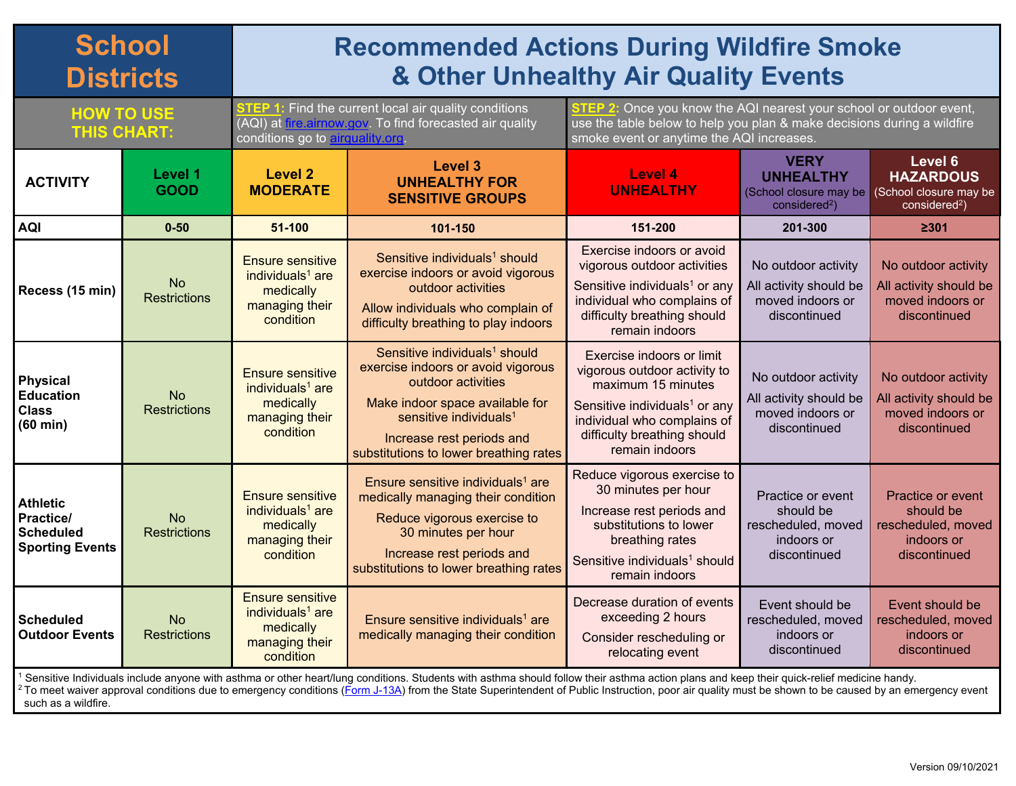## **School Districts**

## **Recommended Actions During Wildfire Smoke & Other Unhealthy Air Quality Events**

**HOW TO USE THIS CHART: STEP 1:** Find the current local air quality conditions (AQI) at *fire.airnow.gov*. To find forecasted air quality conditions go to **airquality.org**.

**STEP 2:** Once you know the AQI nearest your school or outdoor event, use the table below to help you plan & make decisions during a wildfire smoke event or anytime the AQI increases.

| <b>ACTIVITY</b>                                                                                                                                                                                                                                                                                                                                                                                         | Level 1<br><b>GOOD</b>           | <b>Level 2</b><br><b>MODERATE</b>                                                                   | <b>Level 3</b><br><b>UNHEALTHY FOR</b><br><b>SENSITIVE GROUPS</b>                                                                                                                                                                                     | Level 4<br><b>UNHEALTHY</b>                                                                                                                                                                                  | <b>VERY</b><br><b>UNHEALTHY</b><br>(School closure may be<br>$considered2$ )       | Level 6<br><b>HAZARDOUS</b><br>(School closure may be<br>$considered2$ )                  |
|---------------------------------------------------------------------------------------------------------------------------------------------------------------------------------------------------------------------------------------------------------------------------------------------------------------------------------------------------------------------------------------------------------|----------------------------------|-----------------------------------------------------------------------------------------------------|-------------------------------------------------------------------------------------------------------------------------------------------------------------------------------------------------------------------------------------------------------|--------------------------------------------------------------------------------------------------------------------------------------------------------------------------------------------------------------|------------------------------------------------------------------------------------|-------------------------------------------------------------------------------------------|
| <b>AQI</b>                                                                                                                                                                                                                                                                                                                                                                                              | $0 - 50$                         | 51-100                                                                                              | 101-150                                                                                                                                                                                                                                               | 151-200                                                                                                                                                                                                      | 201-300                                                                            | 2301                                                                                      |
| Recess (15 min)                                                                                                                                                                                                                                                                                                                                                                                         | <b>No</b><br><b>Restrictions</b> | <b>Ensure sensitive</b><br>individuals <sup>1</sup> are<br>medically<br>managing their<br>condition | Sensitive individuals <sup>1</sup> should<br>exercise indoors or avoid vigorous<br>outdoor activities<br>Allow individuals who complain of<br>difficulty breathing to play indoors                                                                    | Exercise indoors or avoid<br>vigorous outdoor activities<br>Sensitive individuals <sup>1</sup> or any<br>individual who complains of<br>difficulty breathing should<br>remain indoors                        | No outdoor activity<br>All activity should be<br>moved indoors or<br>discontinued  | No outdoor activity<br>All activity should be<br>moved indoors or<br>discontinued         |
| <b>Physical</b><br><b>Education</b><br><b>Class</b><br>$(60 \text{ min})$                                                                                                                                                                                                                                                                                                                               | <b>No</b><br><b>Restrictions</b> | <b>Ensure sensitive</b><br>individuals $1$ are<br>medically<br>managing their<br>condition          | Sensitive individuals <sup>1</sup> should<br>exercise indoors or avoid vigorous<br>outdoor activities<br>Make indoor space available for<br>sensitive individuals <sup>1</sup><br>Increase rest periods and<br>substitutions to lower breathing rates | Exercise indoors or limit<br>vigorous outdoor activity to<br>maximum 15 minutes<br>Sensitive individuals <sup>1</sup> or any<br>individual who complains of<br>difficulty breathing should<br>remain indoors | No outdoor activity<br>All activity should be<br>moved indoors or<br>discontinued  | No outdoor activity<br>All activity should be<br>moved indoors or<br>discontinued         |
| <b>Athletic</b><br><b>Practice/</b><br><b>Scheduled</b><br><b>Sporting Events</b>                                                                                                                                                                                                                                                                                                                       | <b>No</b><br><b>Restrictions</b> | <b>Ensure sensitive</b><br>individuals <sup>1</sup> are<br>medically<br>managing their<br>condition | Ensure sensitive individuals <sup>1</sup> are<br>medically managing their condition<br>Reduce vigorous exercise to<br>30 minutes per hour<br>Increase rest periods and<br>substitutions to lower breathing rates                                      | Reduce vigorous exercise to<br>30 minutes per hour<br>Increase rest periods and<br>substitutions to lower<br>breathing rates<br>Sensitive individuals <sup>1</sup> should<br>remain indoors                  | Practice or event<br>should be<br>rescheduled, moved<br>indoors or<br>discontinued | <b>Practice or event</b><br>should be<br>rescheduled, moved<br>indoors or<br>discontinued |
| Scheduled<br><b>Outdoor Events</b>                                                                                                                                                                                                                                                                                                                                                                      | <b>No</b><br><b>Restrictions</b> | <b>Ensure sensitive</b><br>individuals <sup>1</sup> are<br>medically<br>managing their<br>condition | Ensure sensitive individuals <sup>1</sup> are<br>medically managing their condition                                                                                                                                                                   | Decrease duration of events<br>exceeding 2 hours<br>Consider rescheduling or<br>relocating event                                                                                                             | Event should be<br>rescheduled, moved<br>indoors or<br>discontinued                | Event should be<br>rescheduled, moved<br>indoors or<br>discontinued                       |
| Sensitive Individuals include anyone with asthma or other heart/lung conditions. Students with asthma should follow their asthma action plans and keep their quick-relief medicine handy.<br>$^{12}$ To meet waiver approval conditions due to emergency conditions (Form J-13A) from the State Superintendent of Public Instruction, poor air quality must be shown to be caused by an emergency event |                                  |                                                                                                     |                                                                                                                                                                                                                                                       |                                                                                                                                                                                                              |                                                                                    |                                                                                           |

such as a wildfire.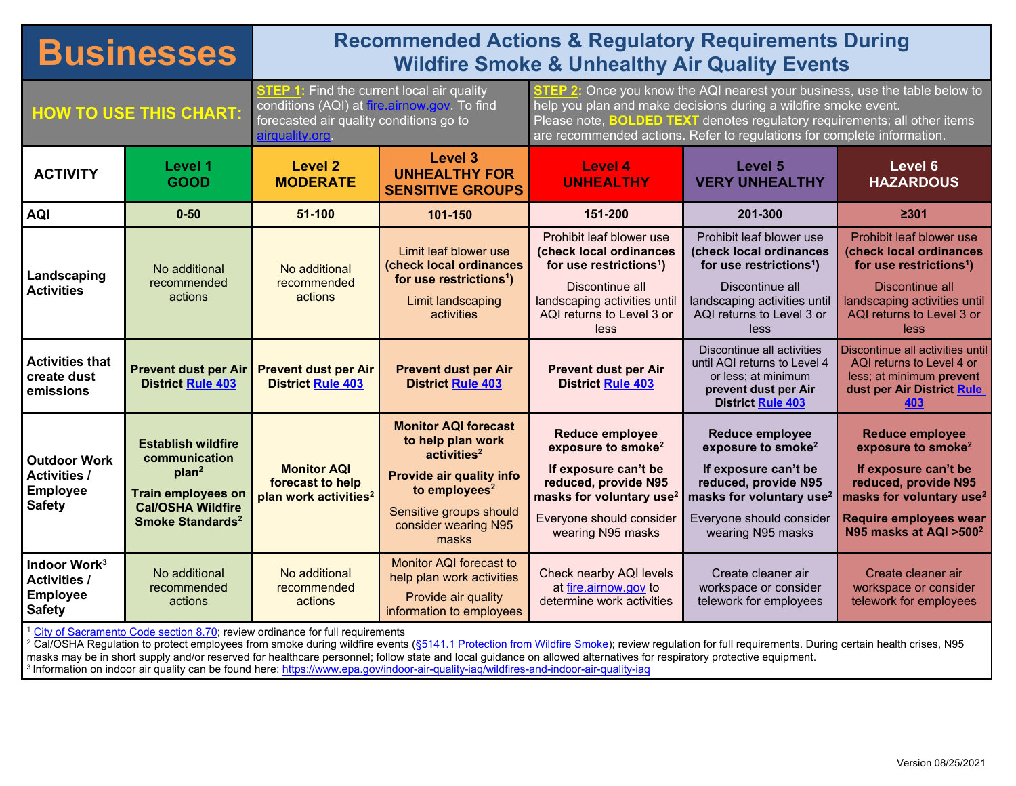## **Businesses** Recommended Actions & Regulatory Requirements During<br>Mildfire Smoke & Unhealthy Air Quality Events **Wildfire Smoke & Unhealthy Air Quality Events HOW TO USE THIS CHART: STEP 1:** Find the current local air quality conditions (AQI) at [fire.airnow.gov.](https://fire.airnow.gov/) To find forecasted air quality conditions go to [airquality.org.](http://www.airquality.org/) **STEP 2:** Once you know the AQI nearest your business, use the table below to help you plan and make decisions during a wildfire smoke event. Please note, **BOLDED TEXT** denotes regulatory requirements; all other items are recommended actions. Refer to regulations for complete information. **ACTIVITY Level 1 GOOD Level 2 MODERATE Level 3 UNHEALTHY FOR SENSITIVE GROUPS Level 4 UNHEALTHY Level 5 VERY UNHEALTHY Level 6 HAZARDOUS AQI 0-50 51-100 101-150 151-200 201-300 ≥301 Landscaping Activities** No additional recommended actions No additional recommended actions Limit leaf blower use **(check local ordinances for use restrictions1 )** Limit landscaping activities Prohibit leaf blower use **(check local ordinances for use restrictions1 )** Discontinue all landscaping activities until AQI returns to Level 3 or less Prohibit leaf blower use **(check local ordinances for use restrictions1 )** Discontinue all landscaping activities until AQI returns to Level 3 or less Prohibit leaf blower use **(check local ordinances for use restrictions1 )** Discontinue all landscaping activities until AQI returns to Level 3 or less **Activities that create dust emissions Prevent dust per Air District [Rule 403](http://www.airquality.org/ProgramCoordination/Documents/rule403.pdf) Prevent dust per Air District [Rule 403](http://www.airquality.org/ProgramCoordination/Documents/rule403.pdf) Prevent dust per Air District [Rule 403](http://www.airquality.org/ProgramCoordination/Documents/rule403.pdf) Prevent dust per Air Distric[t Rule 403](http://www.airquality.org/ProgramCoordination/Documents/rule403.pdf)** Discontinue all activities until AQI returns to Level 4 or less; at minimum **prevent dust per Air District [Rule 403](http://www.airquality.org/ProgramCoordination/Documents/rule403.pdf)** Discontinue all activities until AQI returns to Level 4 or less; at minimum **prevent dust per Air District [Rule](http://www.airquality.org/ProgramCoordination/Documents/rule403.pdf)  [403](http://www.airquality.org/ProgramCoordination/Documents/rule403.pdf) Outdoor Work Activities / Employee Safety Establish wildfire communication plan2 Train employees on Cal/OSHA Wildfire Smoke Standards2 Monitor AQI forecast to help plan work activities2 Monitor AQI forecast to help plan work activities2 Provide air quality info**  to employees<sup>2</sup> Sensitive groups should consider wearing N95 **Reduce employee exposure to smoke2 If exposure can't be reduced, provide N95 masks for voluntary use2** Everyone should consider **Reduce employee exposure to smoke2 If exposure can't be reduced, provide N95 masks for voluntary use2** Everyone should consider **Reduce employee exposure to smoke2 If exposure can't be reduced, provide N95 masks for voluntary use2 Require employees wear**

[City of Sacramento Code section 8.70;](https://www.cityofsacramento.org/Community-Development/Code-Compliance/Programs/Portable-Blowers) review ordinance for full requirements

No additional recommended actions

No additional recommended actions

**Indoor Work3 Activities / Employee Safety**

<sup>2</sup> Cal/OSHA Regulation to protect employees from smoke during wildfire events (<u>§5141.1 Protection from Wildfire Smoke</u>); review regulation for full requirements. During certain health crises, N95 masks may be in short supply and/or reserved for healthcare personnel; follow state and local guidance on allowed alternatives for respiratory protective equipment. <sup>3</sup> Information on indoor air quality can be found here:<https://www.epa.gov/indoor-air-quality-iaq/wildfires-and-indoor-air-quality-iaq>

wearing N95 masks

Check nearby AQI levels a[t fire.airnow.gov](https://fire.airnow.gov/) to determine work activities wearing N95 masks

Create cleaner air workspace or consider telework for employees

masks

Monitor AQI forecast to help plan work activities Provide air quality information to employees **N95 masks at AQI >5002**

Create cleaner air workspace or consider telework for employees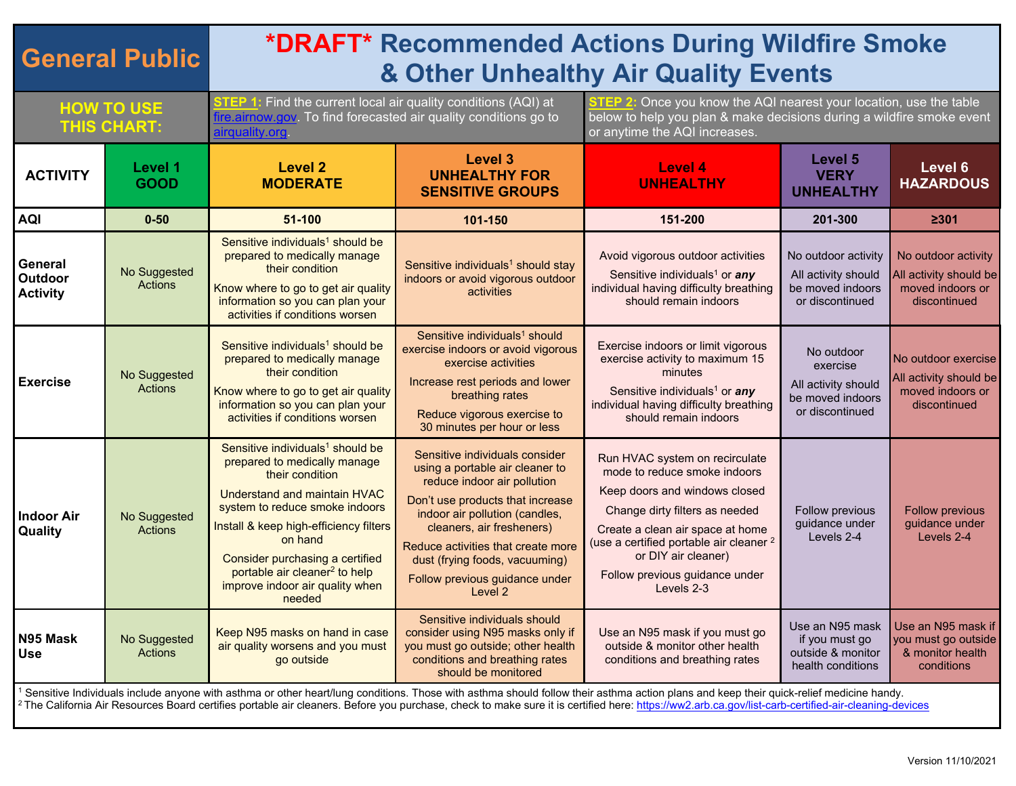| <b>General Public</b>                                                                                                                                                                                                                                                                                                                                                                                    |                                | <b>*DRAFT* Recommended Actions During Wildfire Smoke</b><br>& Other Unhealthy Air Quality Events                                                                                                                                                                                                                                                           |                                                                                                                                                                                                                                                                                                                          |                                                                                                                                                                                                                                                                                                    |                                                                                      |                                                                                   |  |  |
|----------------------------------------------------------------------------------------------------------------------------------------------------------------------------------------------------------------------------------------------------------------------------------------------------------------------------------------------------------------------------------------------------------|--------------------------------|------------------------------------------------------------------------------------------------------------------------------------------------------------------------------------------------------------------------------------------------------------------------------------------------------------------------------------------------------------|--------------------------------------------------------------------------------------------------------------------------------------------------------------------------------------------------------------------------------------------------------------------------------------------------------------------------|----------------------------------------------------------------------------------------------------------------------------------------------------------------------------------------------------------------------------------------------------------------------------------------------------|--------------------------------------------------------------------------------------|-----------------------------------------------------------------------------------|--|--|
| <b>HOW TO USE</b><br><b>THIS CHART:</b>                                                                                                                                                                                                                                                                                                                                                                  |                                | <b>STEP 1:</b> Find the current local air quality conditions (AQI) at<br>fire.airnow.gov. To find forecasted air quality conditions go to<br>airquality.org                                                                                                                                                                                                |                                                                                                                                                                                                                                                                                                                          | <b>STEP 2:</b> Once you know the AQI nearest your location, use the table<br>below to help you plan & make decisions during a wildfire smoke event<br>or anytime the AQI increases.                                                                                                                |                                                                                      |                                                                                   |  |  |
| <b>ACTIVITY</b>                                                                                                                                                                                                                                                                                                                                                                                          | Level 1<br><b>GOOD</b>         | <b>Level 2</b><br><b>MODERATE</b>                                                                                                                                                                                                                                                                                                                          | <b>Level 3</b><br><b>UNHEALTHY FOR</b><br><b>SENSITIVE GROUPS</b>                                                                                                                                                                                                                                                        | Level 4<br><b>UNHEALTHY</b>                                                                                                                                                                                                                                                                        | Level 5<br><b>VERY</b><br><b>UNHEALTHY</b>                                           | Level 6<br><b>HAZARDOUS</b>                                                       |  |  |
| <b>AQI</b>                                                                                                                                                                                                                                                                                                                                                                                               | $0 - 50$                       | 51-100                                                                                                                                                                                                                                                                                                                                                     | 101-150                                                                                                                                                                                                                                                                                                                  | 151-200                                                                                                                                                                                                                                                                                            | 201-300                                                                              | 2301                                                                              |  |  |
| General<br>Outdoor<br><b>Activity</b>                                                                                                                                                                                                                                                                                                                                                                    | No Suggested<br><b>Actions</b> | Sensitive individuals <sup>1</sup> should be<br>prepared to medically manage<br>their condition<br>Know where to go to get air quality<br>information so you can plan your<br>activities if conditions worsen                                                                                                                                              | Sensitive individuals <sup>1</sup> should stay<br>indoors or avoid vigorous outdoor<br>activities                                                                                                                                                                                                                        | Avoid vigorous outdoor activities<br>Sensitive individuals <sup>1</sup> or <i>any</i><br>individual having difficulty breathing<br>should remain indoors                                                                                                                                           | No outdoor activity<br>All activity should<br>be moved indoors<br>or discontinued    | No outdoor activity<br>All activity should be<br>moved indoors or<br>discontinued |  |  |
| <b>Exercise</b>                                                                                                                                                                                                                                                                                                                                                                                          | No Suggested<br><b>Actions</b> | Sensitive individuals <sup>1</sup> should be<br>prepared to medically manage<br>their condition<br>Know where to go to get air quality<br>information so you can plan your<br>activities if conditions worsen                                                                                                                                              | Sensitive individuals <sup>1</sup> should<br>exercise indoors or avoid vigorous<br>exercise activities<br>Increase rest periods and lower<br>breathing rates<br>Reduce vigorous exercise to<br>30 minutes per hour or less                                                                                               | Exercise indoors or limit vigorous<br>exercise activity to maximum 15<br>minutes<br>Sensitive individuals <sup>1</sup> or any<br>individual having difficulty breathing<br>should remain indoors                                                                                                   | No outdoor<br>exercise<br>All activity should<br>be moved indoors<br>or discontinued | No outdoor exercise<br>All activity should be<br>moved indoors or<br>discontinued |  |  |
| <b>Indoor Air</b><br>Quality                                                                                                                                                                                                                                                                                                                                                                             | No Suggested<br><b>Actions</b> | Sensitive individuals <sup>1</sup> should be<br>prepared to medically manage<br>their condition<br><b>Understand and maintain HVAC</b><br>system to reduce smoke indoors<br>Install & keep high-efficiency filters<br>on hand<br>Consider purchasing a certified<br>portable air cleaner <sup>2</sup> to help<br>improve indoor air quality when<br>needed | Sensitive individuals consider<br>using a portable air cleaner to<br>reduce indoor air pollution<br>Don't use products that increase<br>indoor air pollution (candles,<br>cleaners, air fresheners)<br>Reduce activities that create more<br>dust (frying foods, vacuuming)<br>Follow previous guidance under<br>Level 2 | Run HVAC system on recirculate<br>mode to reduce smoke indoors<br>Keep doors and windows closed<br>Change dirty filters as needed<br>Create a clean air space at home<br>(use a certified portable air cleaner <sup>2</sup><br>or DIY air cleaner)<br>Follow previous guidance under<br>Levels 2-3 | Follow previous<br>guidance under<br>Levels 2-4                                      | <b>Follow previous</b><br>guidance under<br>Levels 2-4                            |  |  |
| N95 Mask<br><b>Use</b>                                                                                                                                                                                                                                                                                                                                                                                   | No Suggested<br><b>Actions</b> | Keep N95 masks on hand in case<br>air quality worsens and you must<br>go outside                                                                                                                                                                                                                                                                           | Sensitive individuals should<br>consider using N95 masks only if<br>you must go outside; other health<br>conditions and breathing rates<br>should be monitored                                                                                                                                                           | Use an N95 mask if you must go<br>outside & monitor other health<br>conditions and breathing rates                                                                                                                                                                                                 | Use an N95 mask<br>if you must go<br>outside & monitor<br>health conditions          | Use an N95 mask if<br>you must go outside<br>& monitor health<br>conditions       |  |  |
| Sensitive Individuals include anyone with asthma or other heart/lung conditions. Those with asthma should follow their asthma action plans and keep their quick-relief medicine handy.<br><sup>2</sup> The California Air Resources Board certifies portable air cleaners. Before you purchase, check to make sure it is certified here: https://ww2.arb.ca.gov/list-carb-certified-air-cleaning-devices |                                |                                                                                                                                                                                                                                                                                                                                                            |                                                                                                                                                                                                                                                                                                                          |                                                                                                                                                                                                                                                                                                    |                                                                                      |                                                                                   |  |  |